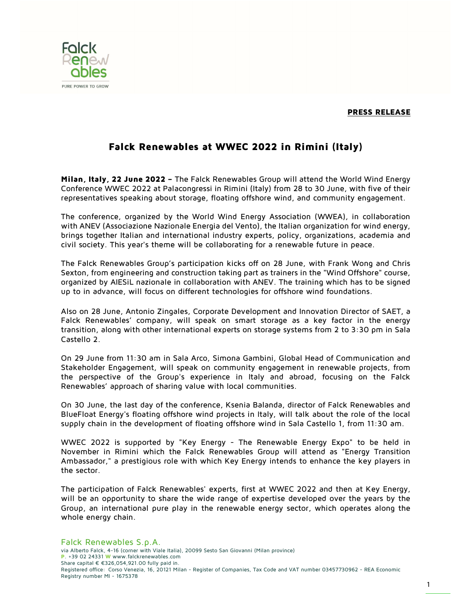PRESS RELEASE



## Falck Renewables at WWEC 2022 in Rimini (Italy)

Milan, Italy, 22 June 2022 - The Falck Renewables Group will attend the World Wind Energy Conference WWEC 2022 at Palacongressi in Rimini (Italy) from 28 to 30 June, with five of their representatives speaking about storage, floating offshore wind, and community engagement.

The conference, organized by the World Wind Energy Association (WWEA), in collaboration with ANEV (Associazione Nazionale Energia del Vento), the Italian organization for wind energy, brings together Italian and international industry experts, policy, organizations, academia and civil society. This year's theme will be collaborating for a renewable future in peace.

The Falck Renewables Group's participation kicks off on 28 June, with Frank Wong and Chris Sexton, from engineering and construction taking part as trainers in the "Wind Offshore" course, organized by AIESiL nazionale in collaboration with ANEV. The training which has to be signed up to in advance, will focus on different technologies for offshore wind foundations.

Also on 28 June, Antonio Zingales, Corporate Development and Innovation Director of SAET, a Falck Renewables' company, will speak on smart storage as a key factor in the energy transition, along with other international experts on storage systems from 2 to 3:30 pm in Sala Castello 2.

On 29 June from 11:30 am in Sala Arco, Simona Gambini, Global Head of Communication and Stakeholder Engagement, will speak on community engagement in renewable projects, from the perspective of the Group's experience in Italy and abroad, focusing on the Falck Renewables' approach of sharing value with local communities.

On 30 June, the last day of the conference, Ksenia Balanda, director of Falck Renewables and BlueFloat Energy's floating offshore wind projects in Italy, will talk about the role of the local supply chain in the development of floating offshore wind in Sala Castello 1, from 11:30 am.

WWEC 2022 is supported by "Key Energy - The Renewable Energy Expo" to be held in November in Rimini which the Falck Renewables Group will attend as "Energy Transition Ambassador," a prestigious role with which Key Energy intends to enhance the key players in the sector.

The participation of Falck Renewables' experts, first at WWEC 2022 and then at Key Energy, will be an opportunity to share the wide range of expertise developed over the years by the Group, an international pure play in the renewable energy sector, which operates along the whole energy chain.